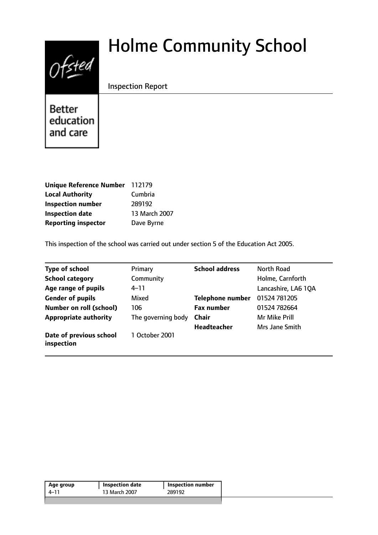

# Holme Community School

Inspection Report

**Better** education and care

| Unique Reference Number 112179 |               |
|--------------------------------|---------------|
| <b>Local Authority</b>         | Cumbria       |
| <b>Inspection number</b>       | 289192        |
| <b>Inspection date</b>         | 13 March 2007 |
| <b>Reporting inspector</b>     | Dave Byrne    |

This inspection of the school was carried out under section 5 of the Education Act 2005.

| <b>Type of school</b>                 | Primary            | <b>School address</b> | North Road          |
|---------------------------------------|--------------------|-----------------------|---------------------|
| <b>School category</b>                | Community          |                       | Holme, Carnforth    |
| Age range of pupils                   | 4–11               |                       | Lancashire, LA6 1QA |
| <b>Gender of pupils</b>               | Mixed              | Telephone number      | 01524 781205        |
| <b>Number on roll (school)</b>        | 106                | <b>Fax number</b>     | 01524 782664        |
| <b>Appropriate authority</b>          | The governing body | <b>Chair</b>          | Mr Mike Prill       |
|                                       |                    | <b>Headteacher</b>    | Mrs Jane Smith      |
| Date of previous school<br>inspection | 1 October 2001     |                       |                     |

| 13 March 2007<br>289192<br>4–11 | Age group | Inspection date | Inspection number |
|---------------------------------|-----------|-----------------|-------------------|
|                                 |           |                 |                   |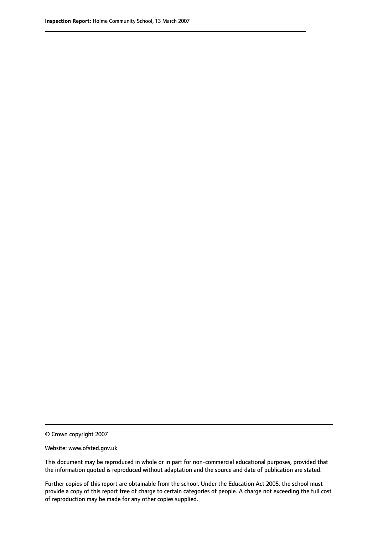© Crown copyright 2007

Website: www.ofsted.gov.uk

This document may be reproduced in whole or in part for non-commercial educational purposes, provided that the information quoted is reproduced without adaptation and the source and date of publication are stated.

Further copies of this report are obtainable from the school. Under the Education Act 2005, the school must provide a copy of this report free of charge to certain categories of people. A charge not exceeding the full cost of reproduction may be made for any other copies supplied.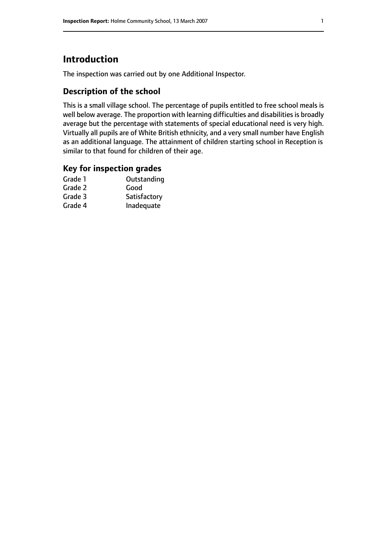# **Introduction**

The inspection was carried out by one Additional Inspector.

## **Description of the school**

This is a small village school. The percentage of pupils entitled to free school meals is well below average. The proportion with learning difficulties and disabilities is broadly average but the percentage with statements of special educational need is very high. Virtually all pupils are of White British ethnicity, and a very small number have English as an additional language. The attainment of children starting school in Reception is similar to that found for children of their age.

### **Key for inspection grades**

| Grade 1 | Outstanding  |
|---------|--------------|
| Grade 2 | Good         |
| Grade 3 | Satisfactory |
| Grade 4 | Inadequate   |
|         |              |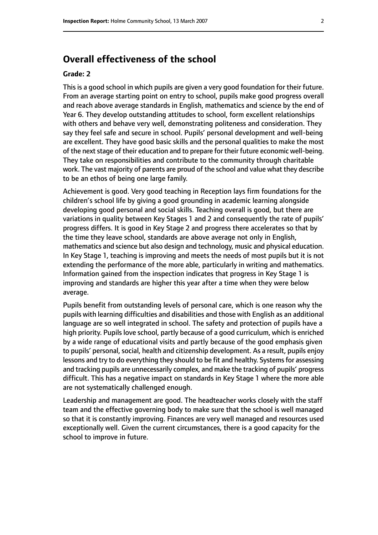# **Overall effectiveness of the school**

#### **Grade: 2**

This is a good school in which pupils are given a very good foundation for their future. From an average starting point on entry to school, pupils make good progress overall and reach above average standards in English, mathematics and science by the end of Year 6. They develop outstanding attitudes to school, form excellent relationships with others and behave very well, demonstrating politeness and consideration. They say they feel safe and secure in school. Pupils' personal development and well-being are excellent. They have good basic skills and the personal qualities to make the most of the next stage of their education and to prepare for their future economic well-being. They take on responsibilities and contribute to the community through charitable work. The vast majority of parents are proud of the school and value what they describe to be an ethos of being one large family.

Achievement is good. Very good teaching in Reception lays firm foundations for the children's school life by giving a good grounding in academic learning alongside developing good personal and social skills. Teaching overall is good, but there are variations in quality between Key Stages 1 and 2 and consequently the rate of pupils' progress differs. It is good in Key Stage 2 and progress there accelerates so that by the time they leave school, standards are above average not only in English, mathematics and science but also design and technology, music and physical education. In Key Stage 1, teaching is improving and meets the needs of most pupils but it is not extending the performance of the more able, particularly in writing and mathematics. Information gained from the inspection indicates that progress in Key Stage 1 is improving and standards are higher this year after a time when they were below average.

Pupils benefit from outstanding levels of personal care, which is one reason why the pupils with learning difficulties and disabilities and those with English as an additional language are so well integrated in school. The safety and protection of pupils have a high priority. Pupils love school, partly because of a good curriculum, which is enriched by a wide range of educational visits and partly because of the good emphasis given to pupils' personal, social, health and citizenship development. As a result, pupils enjoy lessons and try to do everything they should to be fit and healthy. Systems for assessing and tracking pupils are unnecessarily complex, and make the tracking of pupils' progress difficult. This has a negative impact on standards in Key Stage 1 where the more able are not systematically challenged enough.

Leadership and management are good. The headteacher works closely with the staff team and the effective governing body to make sure that the school is well managed so that it is constantly improving. Finances are very well managed and resources used exceptionally well. Given the current circumstances, there is a good capacity for the school to improve in future.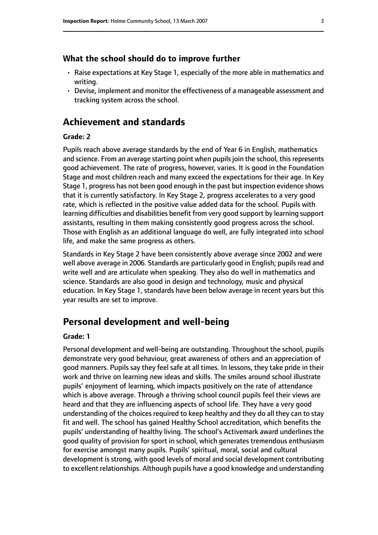#### **What the school should do to improve further**

- Raise expectations at Key Stage 1, especially of the more able in mathematics and writing.
- Devise, implement and monitor the effectiveness of a manageable assessment and tracking system across the school.

# **Achievement and standards**

#### **Grade: 2**

Pupils reach above average standards by the end of Year 6 in English, mathematics and science. From an average starting point when pupils join the school, this represents good achievement. The rate of progress, however, varies. It is good in the Foundation Stage and most children reach and many exceed the expectations for their age. In Key Stage 1, progress has not been good enough in the past but inspection evidence shows that it is currently satisfactory. In Key Stage 2, progress accelerates to a very good rate, which is reflected in the positive value added data for the school. Pupils with learning difficulties and disabilities benefit from very good support by learning support assistants, resulting in them making consistently good progress across the school. Those with English as an additional language do well, are fully integrated into school life, and make the same progress as others.

Standards in Key Stage 2 have been consistently above average since 2002 and were well above average in 2006. Standards are particularly good in English; pupils read and write well and are articulate when speaking. They also do well in mathematics and science. Standards are also good in design and technology, music and physical education. In Key Stage 1, standards have been below average in recent years but this year results are set to improve.

## **Personal development and well-being**

#### **Grade: 1**

Personal development and well-being are outstanding. Throughout the school, pupils demonstrate very good behaviour, great awareness of others and an appreciation of good manners. Pupils say they feel safe at all times. In lessons, they take pride in their work and thrive on learning new ideas and skills. The smiles around school illustrate pupils' enjoyment of learning, which impacts positively on the rate of attendance which is above average. Through a thriving school council pupils feel their views are heard and that they are influencing aspects of school life. They have a very good understanding of the choices required to keep healthy and they do all they can to stay fit and well. The school has gained Healthy School accreditation, which benefits the pupils' understanding of healthy living. The school's Activemark award underlines the good quality of provision for sport in school, which generates tremendous enthusiasm for exercise amongst many pupils. Pupils' spiritual, moral, social and cultural development is strong, with good levels of moral and social development contributing to excellent relationships. Although pupils have a good knowledge and understanding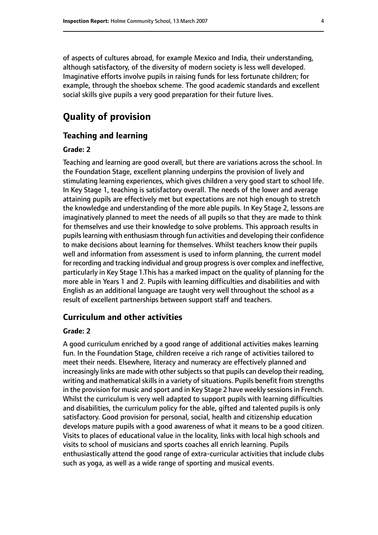of aspects of cultures abroad, for example Mexico and India, their understanding, although satisfactory, of the diversity of modern society is less well developed. Imaginative efforts involve pupils in raising funds for less fortunate children; for example, through the shoebox scheme. The good academic standards and excellent social skills give pupils a very good preparation for their future lives.

# **Quality of provision**

#### **Teaching and learning**

#### **Grade: 2**

Teaching and learning are good overall, but there are variations across the school. In the Foundation Stage, excellent planning underpins the provision of lively and stimulating learning experiences, which gives children a very good start to school life. In Key Stage 1, teaching is satisfactory overall. The needs of the lower and average attaining pupils are effectively met but expectations are not high enough to stretch the knowledge and understanding of the more able pupils. In Key Stage 2, lessons are imaginatively planned to meet the needs of all pupils so that they are made to think for themselves and use their knowledge to solve problems. This approach results in pupils learning with enthusiasm through fun activities and developing their confidence to make decisions about learning for themselves. Whilst teachers know their pupils well and information from assessment is used to inform planning, the current model for recording and tracking individual and group progress is over complex and ineffective, particularly in Key Stage 1.This has a marked impact on the quality of planning for the more able in Years 1 and 2. Pupils with learning difficulties and disabilities and with English as an additional language are taught very well throughout the school as a result of excellent partnerships between support staff and teachers.

#### **Curriculum and other activities**

#### **Grade: 2**

A good curriculum enriched by a good range of additional activities makes learning fun. In the Foundation Stage, children receive a rich range of activities tailored to meet their needs. Elsewhere, literacy and numeracy are effectively planned and increasingly links are made with other subjects so that pupils can develop their reading, writing and mathematical skills in a variety of situations. Pupils benefit from strengths in the provision for music and sport and in Key Stage 2 have weekly sessions in French. Whilst the curriculum is very well adapted to support pupils with learning difficulties and disabilities, the curriculum policy for the able, gifted and talented pupils is only satisfactory. Good provision for personal, social, health and citizenship education develops mature pupils with a good awareness of what it means to be a good citizen. Visits to places of educational value in the locality, links with local high schools and visits to school of musicians and sports coaches all enrich learning. Pupils enthusiastically attend the good range of extra-curricular activities that include clubs such as yoga, as well as a wide range of sporting and musical events.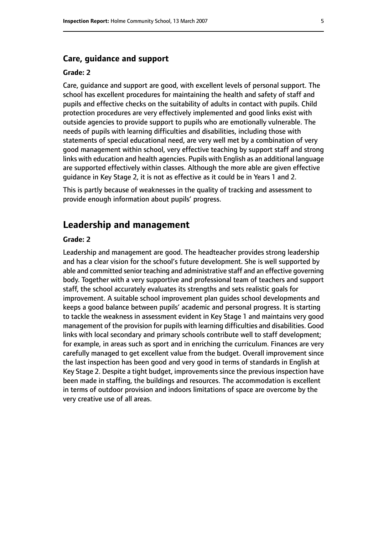#### **Care, guidance and support**

#### **Grade: 2**

Care, guidance and support are good, with excellent levels of personal support. The school has excellent procedures for maintaining the health and safety of staff and pupils and effective checks on the suitability of adults in contact with pupils. Child protection procedures are very effectively implemented and good links exist with outside agencies to provide support to pupils who are emotionally vulnerable. The needs of pupils with learning difficulties and disabilities, including those with statements of special educational need, are very well met by a combination of very good management within school, very effective teaching by support staff and strong links with education and health agencies. Pupils with English as an additional language are supported effectively within classes. Although the more able are given effective guidance in Key Stage 2, it is not as effective as it could be in Years 1 and 2.

This is partly because of weaknesses in the quality of tracking and assessment to provide enough information about pupils' progress.

## **Leadership and management**

#### **Grade: 2**

Leadership and management are good. The headteacher provides strong leadership and has a clear vision for the school's future development. She is well supported by able and committed senior teaching and administrative staff and an effective governing body. Together with a very supportive and professional team of teachers and support staff, the school accurately evaluates its strengths and sets realistic goals for improvement. A suitable school improvement plan guides school developments and keeps a good balance between pupils' academic and personal progress. It is starting to tackle the weakness in assessment evident in Key Stage 1 and maintains very good management of the provision for pupils with learning difficulties and disabilities. Good links with local secondary and primary schools contribute well to staff development; for example, in areas such as sport and in enriching the curriculum. Finances are very carefully managed to get excellent value from the budget. Overall improvement since the last inspection has been good and very good in terms of standards in English at Key Stage 2. Despite a tight budget, improvements since the previous inspection have been made in staffing, the buildings and resources. The accommodation is excellent in terms of outdoor provision and indoors limitations of space are overcome by the very creative use of all areas.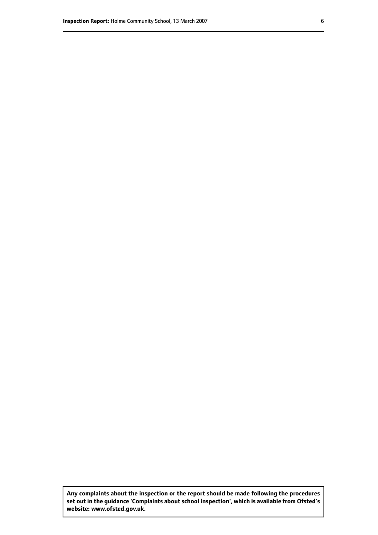**Any complaints about the inspection or the report should be made following the procedures set out inthe guidance 'Complaints about school inspection', whichis available from Ofsted's website: www.ofsted.gov.uk.**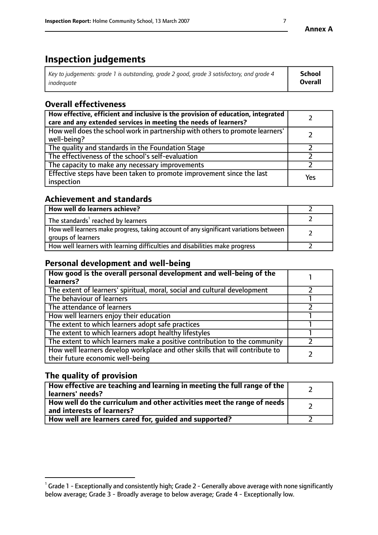# **Inspection judgements**

| $^{\circ}$ Key to judgements: grade 1 is outstanding, grade 2 good, grade 3 satisfactory, and grade 4 $^{\circ}$ | School         |
|------------------------------------------------------------------------------------------------------------------|----------------|
| inadequate                                                                                                       | <b>Overall</b> |

# **Overall effectiveness**

| How effective, efficient and inclusive is the provision of education, integrated<br>care and any extended services in meeting the needs of learners? |     |
|------------------------------------------------------------------------------------------------------------------------------------------------------|-----|
| How well does the school work in partnership with others to promote learners'<br>well-being?                                                         |     |
| The quality and standards in the Foundation Stage                                                                                                    |     |
| The effectiveness of the school's self-evaluation                                                                                                    |     |
| The capacity to make any necessary improvements                                                                                                      |     |
| Effective steps have been taken to promote improvement since the last<br>inspection                                                                  | Yes |

## **Achievement and standards**

| How well do learners achieve?                                                                               |  |
|-------------------------------------------------------------------------------------------------------------|--|
| The standards <sup>1</sup> reached by learners                                                              |  |
| How well learners make progress, taking account of any significant variations between<br>groups of learners |  |
| How well learners with learning difficulties and disabilities make progress                                 |  |

## **Personal development and well-being**

| How good is the overall personal development and well-being of the<br>learners?                                  |  |
|------------------------------------------------------------------------------------------------------------------|--|
| The extent of learners' spiritual, moral, social and cultural development                                        |  |
| The behaviour of learners                                                                                        |  |
| The attendance of learners                                                                                       |  |
| How well learners enjoy their education                                                                          |  |
| The extent to which learners adopt safe practices                                                                |  |
| The extent to which learners adopt healthy lifestyles                                                            |  |
| The extent to which learners make a positive contribution to the community                                       |  |
| How well learners develop workplace and other skills that will contribute to<br>their future economic well-being |  |

# **The quality of provision**

| How effective are teaching and learning in meeting the full range of the<br>  learners' needs?                      |  |
|---------------------------------------------------------------------------------------------------------------------|--|
| $\mid$ How well do the curriculum and other activities meet the range of needs<br>$\mid$ and interests of learners? |  |
| How well are learners cared for, guided and supported?                                                              |  |

 $^1$  Grade 1 - Exceptionally and consistently high; Grade 2 - Generally above average with none significantly below average; Grade 3 - Broadly average to below average; Grade 4 - Exceptionally low.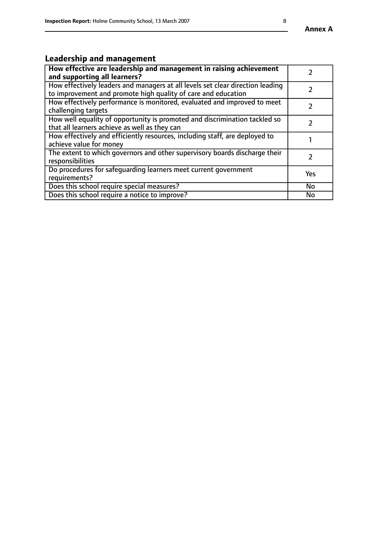#### **Annex A**

# **Leadership and management**

| How effective are leadership and management in raising achievement<br>and supporting all learners?                                              |           |
|-------------------------------------------------------------------------------------------------------------------------------------------------|-----------|
| How effectively leaders and managers at all levels set clear direction leading<br>to improvement and promote high quality of care and education |           |
| How effectively performance is monitored, evaluated and improved to meet<br>challenging targets                                                 |           |
| How well equality of opportunity is promoted and discrimination tackled so<br>that all learners achieve as well as they can                     |           |
| How effectively and efficiently resources, including staff, are deployed to<br>achieve value for money                                          |           |
| The extent to which governors and other supervisory boards discharge their<br>responsibilities                                                  |           |
| Do procedures for safequarding learners meet current government<br>requirements?                                                                | Yes       |
| Does this school require special measures?                                                                                                      | No        |
| Does this school require a notice to improve?                                                                                                   | <b>No</b> |